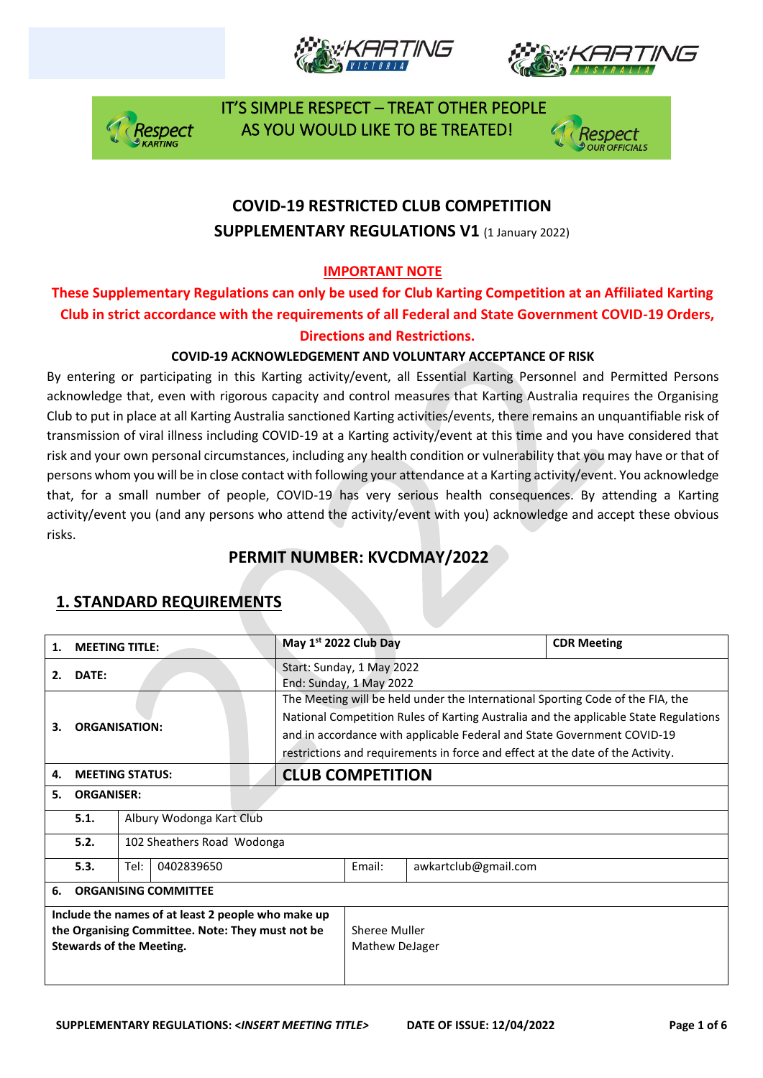







## **COVID-19 RESTRICTED CLUB COMPETITION SUPPLEMENTARY REGULATIONS V1 (1 January 2022)**

#### **IMPORTANT NOTE**

#### **These Supplementary Regulations can only be used for Club Karting Competition at an Affiliated Karting Club in strict accordance with the requirements of all Federal and State Government COVID-19 Orders, Directions and Restrictions.**

#### **COVID-19 ACKNOWLEDGEMENT AND VOLUNTARY ACCEPTANCE OF RISK**

By entering or participating in this Karting activity/event, all Essential Karting Personnel and Permitted Persons acknowledge that, even with rigorous capacity and control measures that Karting Australia requires the Organising Club to put in place at all Karting Australia sanctioned Karting activities/events, there remains an unquantifiable risk of transmission of viral illness including COVID-19 at a Karting activity/event at this time and you have considered that risk and your own personal circumstances, including any health condition or vulnerability that you may have or that of persons whom you will be in close contact with following your attendance at a Karting activity/event. You acknowledge that, for a small number of people, COVID-19 has very serious health consequences. By attending a Karting activity/event you (and any persons who attend the activity/event with you) acknowledge and accept these obvious risks.

### **PERMIT NUMBER: KVCDMAY/2022**

| 1.                                                                                                                                        | <b>MEETING TITLE:</b>       |                            |  | May 1st 2022 Club Day |                                                                                                                                                                                                                                                                                                                                     |        | <b>CDR Meeting</b>   |  |  |
|-------------------------------------------------------------------------------------------------------------------------------------------|-----------------------------|----------------------------|--|-----------------------|-------------------------------------------------------------------------------------------------------------------------------------------------------------------------------------------------------------------------------------------------------------------------------------------------------------------------------------|--------|----------------------|--|--|
| 2.                                                                                                                                        | DATE:                       |                            |  |                       | Start: Sunday, 1 May 2022<br>End: Sunday, 1 May 2022                                                                                                                                                                                                                                                                                |        |                      |  |  |
| 3.                                                                                                                                        | <b>ORGANISATION:</b>        |                            |  |                       | The Meeting will be held under the International Sporting Code of the FIA, the<br>National Competition Rules of Karting Australia and the applicable State Regulations<br>and in accordance with applicable Federal and State Government COVID-19<br>restrictions and requirements in force and effect at the date of the Activity. |        |                      |  |  |
| 4.                                                                                                                                        |                             | <b>MEETING STATUS:</b>     |  |                       | <b>CLUB COMPETITION</b>                                                                                                                                                                                                                                                                                                             |        |                      |  |  |
| 5.                                                                                                                                        |                             | <b>ORGANISER:</b>          |  |                       |                                                                                                                                                                                                                                                                                                                                     |        |                      |  |  |
|                                                                                                                                           | 5.1.                        | Albury Wodonga Kart Club   |  |                       |                                                                                                                                                                                                                                                                                                                                     |        |                      |  |  |
|                                                                                                                                           | 5.2.                        | 102 Sheathers Road Wodonga |  |                       |                                                                                                                                                                                                                                                                                                                                     |        |                      |  |  |
|                                                                                                                                           | 5.3.                        | Tel:<br>0402839650         |  |                       |                                                                                                                                                                                                                                                                                                                                     | Email: | awkartclub@gmail.com |  |  |
| 6.                                                                                                                                        | <b>ORGANISING COMMITTEE</b> |                            |  |                       |                                                                                                                                                                                                                                                                                                                                     |        |                      |  |  |
| Include the names of at least 2 people who make up<br>the Organising Committee. Note: They must not be<br><b>Stewards of the Meeting.</b> |                             |                            |  |                       | Sheree Muller<br>Mathew DeJager                                                                                                                                                                                                                                                                                                     |        |                      |  |  |

### **1. STANDARD REQUIREMENTS**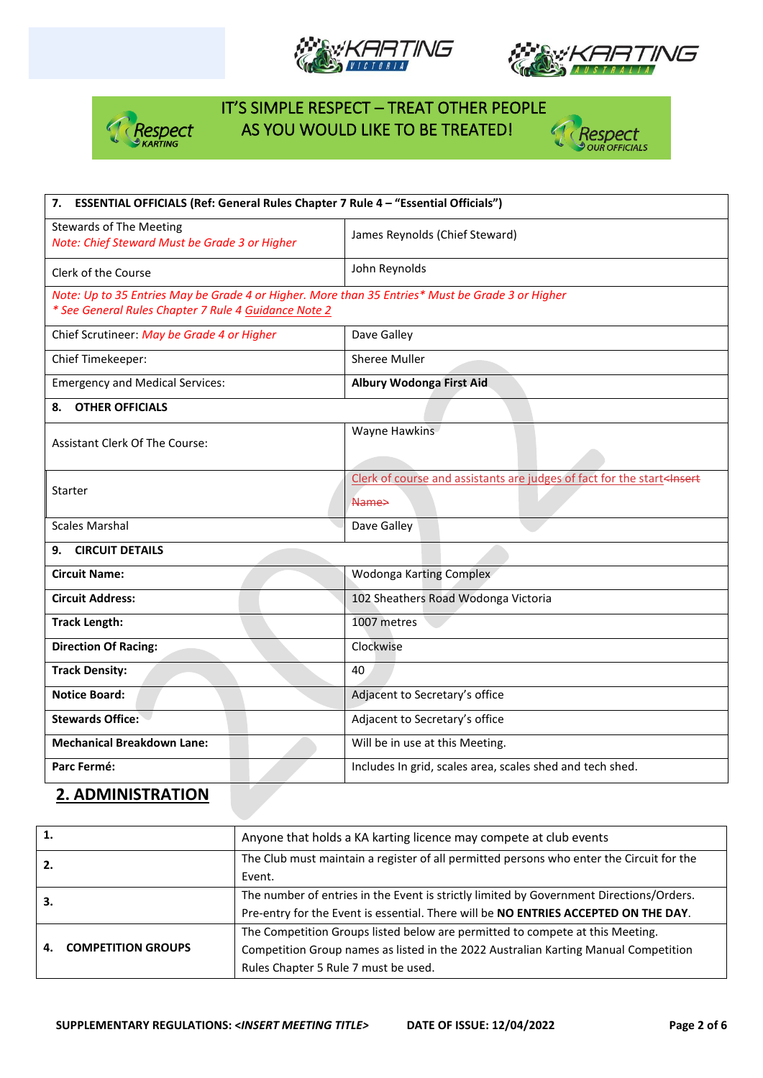







| 7. ESSENTIAL OFFICIALS (Ref: General Rules Chapter 7 Rule 4 - "Essential Officials")                                                                     |                                                                                                 |  |  |  |  |
|----------------------------------------------------------------------------------------------------------------------------------------------------------|-------------------------------------------------------------------------------------------------|--|--|--|--|
| <b>Stewards of The Meeting</b><br>Note: Chief Steward Must be Grade 3 or Higher                                                                          | James Reynolds (Chief Steward)                                                                  |  |  |  |  |
| Clerk of the Course                                                                                                                                      | John Reynolds                                                                                   |  |  |  |  |
| Note: Up to 35 Entries May be Grade 4 or Higher. More than 35 Entries* Must be Grade 3 or Higher<br>* See General Rules Chapter 7 Rule 4 Guidance Note 2 |                                                                                                 |  |  |  |  |
| Chief Scrutineer: May be Grade 4 or Higher                                                                                                               | Dave Galley                                                                                     |  |  |  |  |
| Chief Timekeeper:                                                                                                                                        | Sheree Muller                                                                                   |  |  |  |  |
| <b>Emergency and Medical Services:</b>                                                                                                                   | <b>Albury Wodonga First Aid</b>                                                                 |  |  |  |  |
| <b>OTHER OFFICIALS</b><br>8.                                                                                                                             |                                                                                                 |  |  |  |  |
| Assistant Clerk Of The Course:                                                                                                                           | Wayne Hawkins                                                                                   |  |  |  |  |
| Starter                                                                                                                                                  | Clerk of course and assistants are judges of fact for the start <insert<br>Name&gt;</insert<br> |  |  |  |  |
| <b>Scales Marshal</b>                                                                                                                                    | Dave Galley                                                                                     |  |  |  |  |
| <b>CIRCUIT DETAILS</b><br>9.                                                                                                                             |                                                                                                 |  |  |  |  |
| <b>Circuit Name:</b>                                                                                                                                     | Wodonga Karting Complex                                                                         |  |  |  |  |
| <b>Circuit Address:</b>                                                                                                                                  | 102 Sheathers Road Wodonga Victoria                                                             |  |  |  |  |
| <b>Track Length:</b>                                                                                                                                     | 1007 metres                                                                                     |  |  |  |  |
| <b>Direction Of Racing:</b>                                                                                                                              | Clockwise                                                                                       |  |  |  |  |
| <b>Track Density:</b>                                                                                                                                    | 40                                                                                              |  |  |  |  |
| <b>Notice Board:</b>                                                                                                                                     | Adjacent to Secretary's office                                                                  |  |  |  |  |
| <b>Stewards Office:</b>                                                                                                                                  | Adjacent to Secretary's office                                                                  |  |  |  |  |
| <b>Mechanical Breakdown Lane:</b>                                                                                                                        | Will be in use at this Meeting.                                                                 |  |  |  |  |
| Parc Fermé:                                                                                                                                              | Includes In grid, scales area, scales shed and tech shed.                                       |  |  |  |  |

## **2. ADMINISTRATION**

| 1.                        | Anyone that holds a KA karting licence may compete at club events                        |  |  |  |
|---------------------------|------------------------------------------------------------------------------------------|--|--|--|
| 2.                        | The Club must maintain a register of all permitted persons who enter the Circuit for the |  |  |  |
|                           | Event.                                                                                   |  |  |  |
| З.                        | The number of entries in the Event is strictly limited by Government Directions/Orders.  |  |  |  |
|                           | Pre-entry for the Event is essential. There will be NO ENTRIES ACCEPTED ON THE DAY.      |  |  |  |
|                           | The Competition Groups listed below are permitted to compete at this Meeting.            |  |  |  |
| <b>COMPETITION GROUPS</b> | Competition Group names as listed in the 2022 Australian Karting Manual Competition      |  |  |  |
|                           | Rules Chapter 5 Rule 7 must be used.                                                     |  |  |  |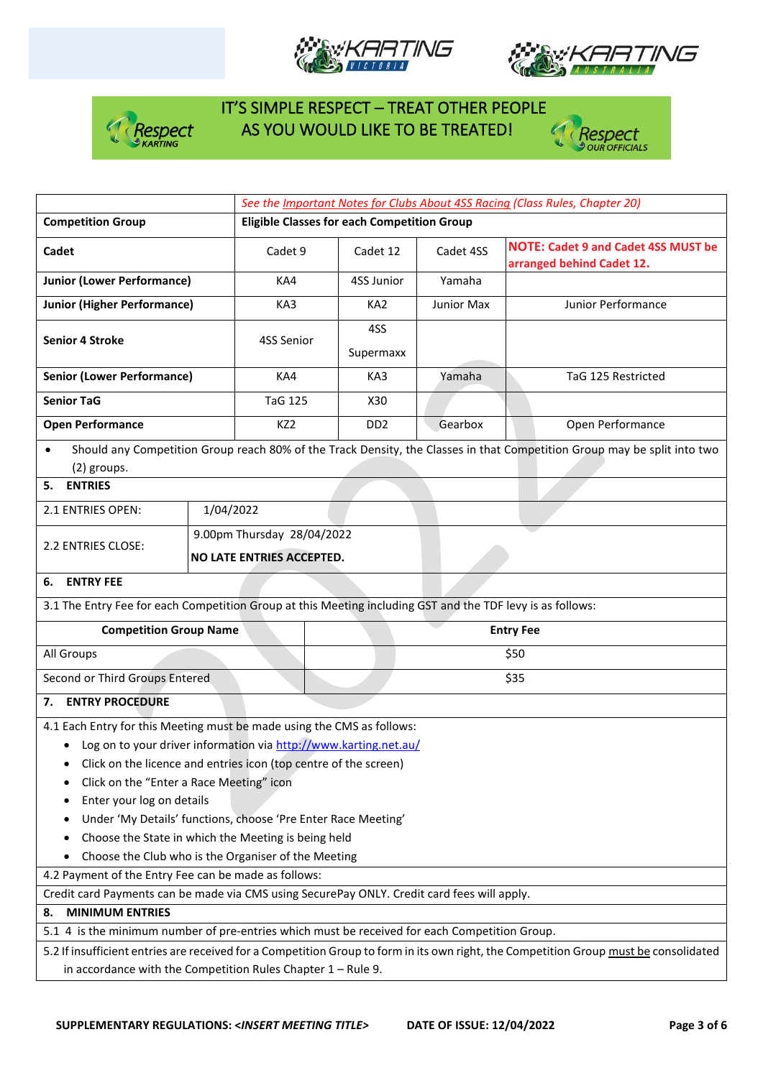







|                                                                                                                                                                                                                                                                                                                                                                                                                                                                                                                                                                                                                                                                                                                                                                |                                                    | See the Important Notes for Clubs About 4SS Racing (Class Rules, Chapter 20) |                                                                                                                          |            |                                                                                                                                       |  |  |
|----------------------------------------------------------------------------------------------------------------------------------------------------------------------------------------------------------------------------------------------------------------------------------------------------------------------------------------------------------------------------------------------------------------------------------------------------------------------------------------------------------------------------------------------------------------------------------------------------------------------------------------------------------------------------------------------------------------------------------------------------------------|----------------------------------------------------|------------------------------------------------------------------------------|--------------------------------------------------------------------------------------------------------------------------|------------|---------------------------------------------------------------------------------------------------------------------------------------|--|--|
| <b>Competition Group</b>                                                                                                                                                                                                                                                                                                                                                                                                                                                                                                                                                                                                                                                                                                                                       | <b>Eligible Classes for each Competition Group</b> |                                                                              |                                                                                                                          |            |                                                                                                                                       |  |  |
| Cadet                                                                                                                                                                                                                                                                                                                                                                                                                                                                                                                                                                                                                                                                                                                                                          |                                                    | Cadet 9                                                                      | Cadet 4SS<br>Cadet 12                                                                                                    |            | <b>NOTE: Cadet 9 and Cadet 4SS MUST be</b><br>arranged behind Cadet 12.                                                               |  |  |
| <b>Junior (Lower Performance)</b>                                                                                                                                                                                                                                                                                                                                                                                                                                                                                                                                                                                                                                                                                                                              |                                                    | KA4                                                                          | 4SS Junior                                                                                                               | Yamaha     |                                                                                                                                       |  |  |
| <b>Junior (Higher Performance)</b>                                                                                                                                                                                                                                                                                                                                                                                                                                                                                                                                                                                                                                                                                                                             |                                                    | KA3                                                                          | KA <sub>2</sub>                                                                                                          | Junior Max | Junior Performance                                                                                                                    |  |  |
| <b>Senior 4 Stroke</b>                                                                                                                                                                                                                                                                                                                                                                                                                                                                                                                                                                                                                                                                                                                                         | 4SS Senior                                         | 4SS<br>Supermaxx                                                             |                                                                                                                          |            |                                                                                                                                       |  |  |
| <b>Senior (Lower Performance)</b>                                                                                                                                                                                                                                                                                                                                                                                                                                                                                                                                                                                                                                                                                                                              |                                                    | KA4                                                                          | KA3                                                                                                                      | Yamaha     | TaG 125 Restricted                                                                                                                    |  |  |
| <b>Senior TaG</b>                                                                                                                                                                                                                                                                                                                                                                                                                                                                                                                                                                                                                                                                                                                                              |                                                    | <b>TaG 125</b>                                                               | X30                                                                                                                      |            |                                                                                                                                       |  |  |
| <b>Open Performance</b>                                                                                                                                                                                                                                                                                                                                                                                                                                                                                                                                                                                                                                                                                                                                        |                                                    | KZ2                                                                          | D <sub>D</sub> <sub>2</sub>                                                                                              | Gearbox    | Open Performance                                                                                                                      |  |  |
| $\bullet$<br>(2) groups.                                                                                                                                                                                                                                                                                                                                                                                                                                                                                                                                                                                                                                                                                                                                       |                                                    |                                                                              | Should any Competition Group reach 80% of the Track Density, the Classes in that Competition Group may be split into two |            |                                                                                                                                       |  |  |
| <b>ENTRIES</b><br>5.                                                                                                                                                                                                                                                                                                                                                                                                                                                                                                                                                                                                                                                                                                                                           |                                                    |                                                                              |                                                                                                                          |            |                                                                                                                                       |  |  |
| 2.1 ENTRIES OPEN:                                                                                                                                                                                                                                                                                                                                                                                                                                                                                                                                                                                                                                                                                                                                              | 1/04/2022                                          |                                                                              |                                                                                                                          |            |                                                                                                                                       |  |  |
| 2.2 ENTRIES CLOSE:                                                                                                                                                                                                                                                                                                                                                                                                                                                                                                                                                                                                                                                                                                                                             |                                                    | 9.00pm Thursday 28/04/2022<br>NO LATE ENTRIES ACCEPTED.                      |                                                                                                                          |            |                                                                                                                                       |  |  |
| <b>ENTRY FEE</b><br>6.                                                                                                                                                                                                                                                                                                                                                                                                                                                                                                                                                                                                                                                                                                                                         |                                                    |                                                                              |                                                                                                                          |            |                                                                                                                                       |  |  |
| 3.1 The Entry Fee for each Competition Group at this Meeting including GST and the TDF levy is as follows:                                                                                                                                                                                                                                                                                                                                                                                                                                                                                                                                                                                                                                                     |                                                    |                                                                              |                                                                                                                          |            |                                                                                                                                       |  |  |
| <b>Competition Group Name</b>                                                                                                                                                                                                                                                                                                                                                                                                                                                                                                                                                                                                                                                                                                                                  |                                                    | <b>Entry Fee</b>                                                             |                                                                                                                          |            |                                                                                                                                       |  |  |
| All Groups                                                                                                                                                                                                                                                                                                                                                                                                                                                                                                                                                                                                                                                                                                                                                     |                                                    |                                                                              |                                                                                                                          |            | \$50                                                                                                                                  |  |  |
| Second or Third Groups Entered                                                                                                                                                                                                                                                                                                                                                                                                                                                                                                                                                                                                                                                                                                                                 |                                                    | \$35                                                                         |                                                                                                                          |            |                                                                                                                                       |  |  |
| <b>ENTRY PROCEDURE</b><br>7.                                                                                                                                                                                                                                                                                                                                                                                                                                                                                                                                                                                                                                                                                                                                   |                                                    |                                                                              |                                                                                                                          |            |                                                                                                                                       |  |  |
| 4.1 Each Entry for this Meeting must be made using the CMS as follows:<br>Log on to your driver information via http://www.karting.net.au/<br>Click on the licence and entries icon (top centre of the screen)<br>Click on the "Enter a Race Meeting" icon<br>Enter your log on details<br>Under 'My Details' functions, choose 'Pre Enter Race Meeting'<br>Choose the State in which the Meeting is being held<br>Choose the Club who is the Organiser of the Meeting<br>4.2 Payment of the Entry Fee can be made as follows:<br>Credit card Payments can be made via CMS using SecurePay ONLY. Credit card fees will apply.<br><b>MINIMUM ENTRIES</b><br>8.<br>5.1 4 is the minimum number of pre-entries which must be received for each Competition Group. |                                                    |                                                                              |                                                                                                                          |            |                                                                                                                                       |  |  |
|                                                                                                                                                                                                                                                                                                                                                                                                                                                                                                                                                                                                                                                                                                                                                                |                                                    |                                                                              |                                                                                                                          |            | 5.2 If insufficient entries are received for a Competition Group to form in its own right, the Competition Group must be consolidated |  |  |
| in accordance with the Competition Rules Chapter $1 -$ Rule 9.                                                                                                                                                                                                                                                                                                                                                                                                                                                                                                                                                                                                                                                                                                 |                                                    |                                                                              |                                                                                                                          |            |                                                                                                                                       |  |  |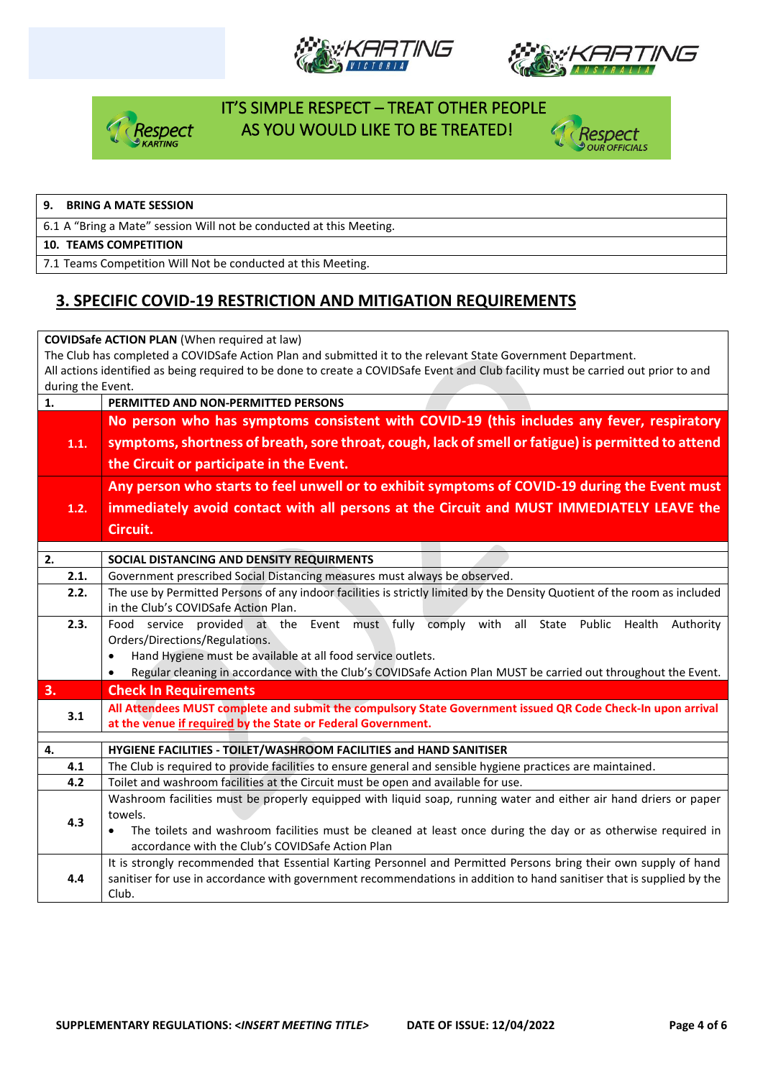







#### **9. BRING A MATE SESSION**

6.1 A "Bring a Mate" session Will not be conducted at this Meeting.

#### **10. TEAMS COMPETITION**

7.1 Teams Competition Will Not be conducted at this Meeting.

#### **3. SPECIFIC COVID-19 RESTRICTION AND MITIGATION REQUIREMENTS**

| <b>COVIDSafe ACTION PLAN (When required at law)</b>                                                          |                                                                                                                                                                                   |  |  |  |  |  |  |
|--------------------------------------------------------------------------------------------------------------|-----------------------------------------------------------------------------------------------------------------------------------------------------------------------------------|--|--|--|--|--|--|
| The Club has completed a COVIDSafe Action Plan and submitted it to the relevant State Government Department. |                                                                                                                                                                                   |  |  |  |  |  |  |
|                                                                                                              | All actions identified as being required to be done to create a COVIDSafe Event and Club facility must be carried out prior to and                                                |  |  |  |  |  |  |
| during the Event.                                                                                            |                                                                                                                                                                                   |  |  |  |  |  |  |
| 1.                                                                                                           | PERMITTED AND NON-PERMITTED PERSONS                                                                                                                                               |  |  |  |  |  |  |
|                                                                                                              | No person who has symptoms consistent with COVID-19 (this includes any fever, respiratory                                                                                         |  |  |  |  |  |  |
| 1.1.                                                                                                         | symptoms, shortness of breath, sore throat, cough, lack of smell or fatigue) is permitted to attend                                                                               |  |  |  |  |  |  |
|                                                                                                              | the Circuit or participate in the Event.                                                                                                                                          |  |  |  |  |  |  |
|                                                                                                              | Any person who starts to feel unwell or to exhibit symptoms of COVID-19 during the Event must                                                                                     |  |  |  |  |  |  |
| 1.2.                                                                                                         | immediately avoid contact with all persons at the Circuit and MUST IMMEDIATELY LEAVE the                                                                                          |  |  |  |  |  |  |
|                                                                                                              | Circuit.                                                                                                                                                                          |  |  |  |  |  |  |
|                                                                                                              |                                                                                                                                                                                   |  |  |  |  |  |  |
| 2.                                                                                                           | SOCIAL DISTANCING AND DENSITY REQUIRMENTS                                                                                                                                         |  |  |  |  |  |  |
| 2.1.                                                                                                         | Government prescribed Social Distancing measures must always be observed.                                                                                                         |  |  |  |  |  |  |
| 2.2.                                                                                                         | The use by Permitted Persons of any indoor facilities is strictly limited by the Density Quotient of the room as included                                                         |  |  |  |  |  |  |
|                                                                                                              | in the Club's COVIDSafe Action Plan.                                                                                                                                              |  |  |  |  |  |  |
| 2.3.                                                                                                         | Food service provided at the Event must fully comply with all State Public Health<br>Authority                                                                                    |  |  |  |  |  |  |
|                                                                                                              | Orders/Directions/Regulations.                                                                                                                                                    |  |  |  |  |  |  |
|                                                                                                              | Hand Hygiene must be available at all food service outlets.                                                                                                                       |  |  |  |  |  |  |
|                                                                                                              | Regular cleaning in accordance with the Club's COVIDSafe Action Plan MUST be carried out throughout the Event.                                                                    |  |  |  |  |  |  |
| 3.                                                                                                           | <b>Check In Requirements</b>                                                                                                                                                      |  |  |  |  |  |  |
| 3.1                                                                                                          | All Attendees MUST complete and submit the compulsory State Government issued QR Code Check-In upon arrival                                                                       |  |  |  |  |  |  |
|                                                                                                              | at the venue if required by the State or Federal Government.                                                                                                                      |  |  |  |  |  |  |
| 4.                                                                                                           |                                                                                                                                                                                   |  |  |  |  |  |  |
| 4.1                                                                                                          | HYGIENE FACILITIES - TOILET/WASHROOM FACILITIES and HAND SANITISER<br>The Club is required to provide facilities to ensure general and sensible hygiene practices are maintained. |  |  |  |  |  |  |
| 4.2                                                                                                          | Toilet and washroom facilities at the Circuit must be open and available for use.                                                                                                 |  |  |  |  |  |  |
|                                                                                                              | Washroom facilities must be properly equipped with liquid soap, running water and either air hand driers or paper                                                                 |  |  |  |  |  |  |
|                                                                                                              | towels.                                                                                                                                                                           |  |  |  |  |  |  |
| 4.3                                                                                                          | The toilets and washroom facilities must be cleaned at least once during the day or as otherwise required in                                                                      |  |  |  |  |  |  |
|                                                                                                              | accordance with the Club's COVIDSafe Action Plan                                                                                                                                  |  |  |  |  |  |  |
|                                                                                                              | It is strongly recommended that Essential Karting Personnel and Permitted Persons bring their own supply of hand                                                                  |  |  |  |  |  |  |
| 4.4                                                                                                          | sanitiser for use in accordance with government recommendations in addition to hand sanitiser that is supplied by the                                                             |  |  |  |  |  |  |
|                                                                                                              | Club.                                                                                                                                                                             |  |  |  |  |  |  |
|                                                                                                              |                                                                                                                                                                                   |  |  |  |  |  |  |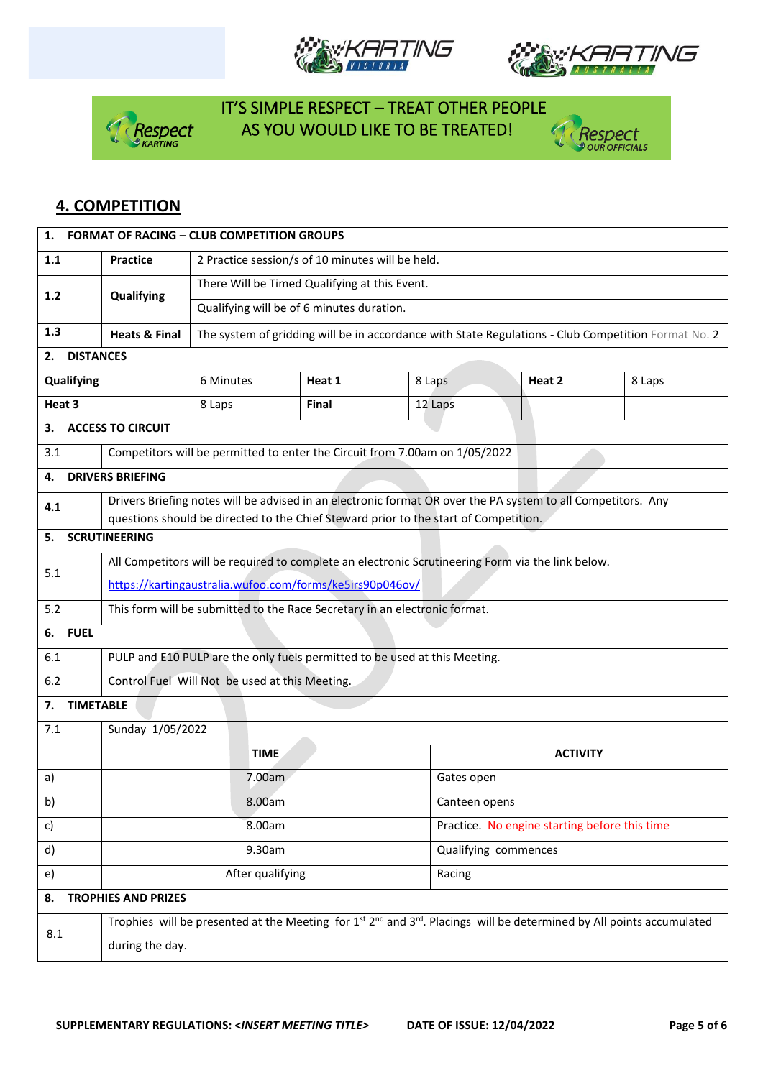







#### **4. COMPETITION**

| 1.                               | <b>FORMAT OF RACING - CLUB COMPETITION GROUPS</b>                                                                                                  |                                                                                      |        |         |                                               |                                                                                                     |  |  |
|----------------------------------|----------------------------------------------------------------------------------------------------------------------------------------------------|--------------------------------------------------------------------------------------|--------|---------|-----------------------------------------------|-----------------------------------------------------------------------------------------------------|--|--|
| 1.1                              | <b>Practice</b>                                                                                                                                    | 2 Practice session/s of 10 minutes will be held.                                     |        |         |                                               |                                                                                                     |  |  |
| $1.2$                            | Qualifying                                                                                                                                         | There Will be Timed Qualifying at this Event.                                        |        |         |                                               |                                                                                                     |  |  |
|                                  |                                                                                                                                                    | Qualifying will be of 6 minutes duration.                                            |        |         |                                               |                                                                                                     |  |  |
| 1.3                              | <b>Heats &amp; Final</b>                                                                                                                           |                                                                                      |        |         |                                               | The system of gridding will be in accordance with State Regulations - Club Competition Format No. 2 |  |  |
| <b>DISTANCES</b><br>2.           |                                                                                                                                                    |                                                                                      |        |         |                                               |                                                                                                     |  |  |
| Qualifying                       |                                                                                                                                                    | 6 Minutes                                                                            | Heat 1 | 8 Laps  | Heat 2                                        | 8 Laps                                                                                              |  |  |
| Heat 3                           |                                                                                                                                                    | 8 Laps                                                                               | Final  | 12 Laps |                                               |                                                                                                     |  |  |
| з.                               | <b>ACCESS TO CIRCUIT</b>                                                                                                                           |                                                                                      |        |         |                                               |                                                                                                     |  |  |
| 3.1                              |                                                                                                                                                    | Competitors will be permitted to enter the Circuit from 7.00am on 1/05/2022          |        |         |                                               |                                                                                                     |  |  |
| 4.                               | <b>DRIVERS BRIEFING</b>                                                                                                                            |                                                                                      |        |         |                                               |                                                                                                     |  |  |
| 4.1                              | Drivers Briefing notes will be advised in an electronic format OR over the PA system to all Competitors. Any                                       |                                                                                      |        |         |                                               |                                                                                                     |  |  |
|                                  |                                                                                                                                                    | questions should be directed to the Chief Steward prior to the start of Competition. |        |         |                                               |                                                                                                     |  |  |
| 5.                               | <b>SCRUTINEERING</b>                                                                                                                               |                                                                                      |        |         |                                               |                                                                                                     |  |  |
| 5.1                              | All Competitors will be required to complete an electronic Scrutineering Form via the link below.                                                  |                                                                                      |        |         |                                               |                                                                                                     |  |  |
|                                  | https://kartingaustralia.wufoo.com/forms/ke5irs90p046ov/                                                                                           |                                                                                      |        |         |                                               |                                                                                                     |  |  |
| 5.2                              | This form will be submitted to the Race Secretary in an electronic format.                                                                         |                                                                                      |        |         |                                               |                                                                                                     |  |  |
| <b>FUEL</b><br>6.                |                                                                                                                                                    |                                                                                      |        |         |                                               |                                                                                                     |  |  |
| 6.1                              | PULP and E10 PULP are the only fuels permitted to be used at this Meeting.                                                                         |                                                                                      |        |         |                                               |                                                                                                     |  |  |
| 6.2                              | Control Fuel Will Not be used at this Meeting.                                                                                                     |                                                                                      |        |         |                                               |                                                                                                     |  |  |
| 7.                               | <b>TIMETABLE</b>                                                                                                                                   |                                                                                      |        |         |                                               |                                                                                                     |  |  |
| 7.1                              | Sunday 1/05/2022                                                                                                                                   |                                                                                      |        |         |                                               |                                                                                                     |  |  |
|                                  | <b>TIME</b>                                                                                                                                        |                                                                                      |        |         | <b>ACTIVITY</b>                               |                                                                                                     |  |  |
| a)                               | 7.00am                                                                                                                                             |                                                                                      |        |         | Gates open                                    |                                                                                                     |  |  |
| b)                               | 8.00am                                                                                                                                             |                                                                                      |        |         | Canteen opens                                 |                                                                                                     |  |  |
| c)                               | 8.00am                                                                                                                                             |                                                                                      |        |         | Practice. No engine starting before this time |                                                                                                     |  |  |
| d)                               | 9.30am                                                                                                                                             |                                                                                      |        |         | Qualifying commences                          |                                                                                                     |  |  |
| e)                               | After qualifying                                                                                                                                   |                                                                                      |        | Racing  |                                               |                                                                                                     |  |  |
| <b>TROPHIES AND PRIZES</b><br>8. |                                                                                                                                                    |                                                                                      |        |         |                                               |                                                                                                     |  |  |
|                                  | Trophies will be presented at the Meeting for $1^{st}$ 2 <sup>nd</sup> and 3 <sup>rd</sup> . Placings will be determined by All points accumulated |                                                                                      |        |         |                                               |                                                                                                     |  |  |
| 8.1                              | during the day.                                                                                                                                    |                                                                                      |        |         |                                               |                                                                                                     |  |  |
|                                  |                                                                                                                                                    |                                                                                      |        |         |                                               |                                                                                                     |  |  |